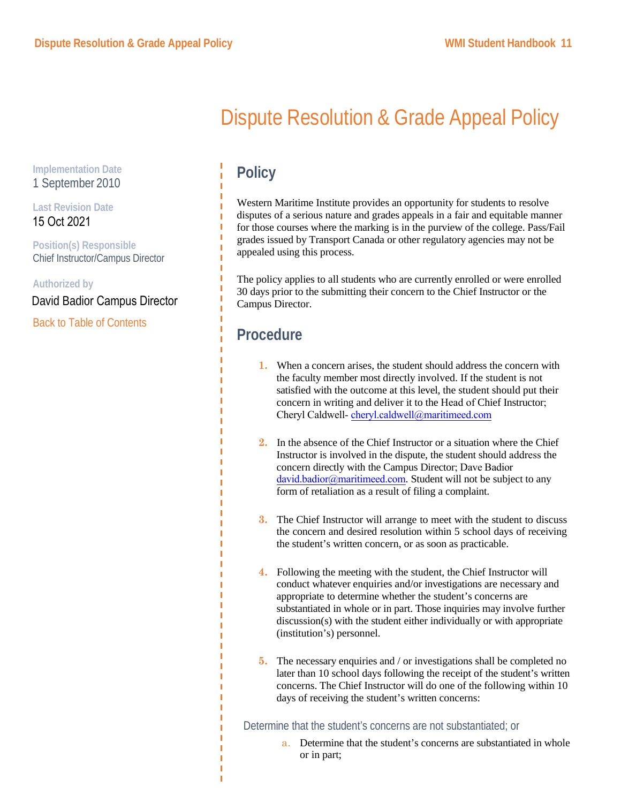# Dispute Resolution & Grade Appeal Policy

## **Policy**

Western Maritime Institute provides an opportunity for students to resolve disputes of a serious nature and grades appeals in a fair and equitable manner for those courses where the marking is in the purview of the college. Pass/Fail grades issued by Transport Canada or other regulatory agencies may not be appealed using this process.

The policy applies to all students who are currently enrolled or were enrolled 30 days prior to the submitting their concern to the Chief Instructor or the Campus Director.

## **Procedure**

- **1.** When a concern arises, the student should address the concern with the faculty member most directly involved. If the student is not satisfied with the outcome at this level, the student should put their concern in writing and deliver it to the Head of Chief Instructor; Cheryl Caldwell- cheryl.caldwell@maritimeed.com
- **2.** In the absence of the Chief Instructor or a situation where the Chief Instructor is involved in the dispute, the student should address the concern directly with the Campus Director; Dave Badior david.badior@maritimeed.com. Student will not be subject to any form of retaliation as a result of filing a complaint.
- **3.** The Chief Instructor will arrange to meet with the student to discuss the concern and desired resolution within 5 school days of receiving the student's written concern, or as soon as practicable.
- **4.** Following the meeting with the student, the Chief Instructor will conduct whatever enquiries and/or investigations are necessary and appropriate to determine whether the student's concerns are substantiated in whole or in part. Those inquiries may involve further discussion(s) with the student either individually or with appropriate (institution's) personnel.
- **5.** The necessary enquiries and / or investigations shall be completed no later than 10 school days following the receipt of the student's written concerns. The Chief Instructor will do one of the following within 10 days of receiving the student's written concerns:

Determine that the student's concerns are not substantiated; or

a. Determine that the student's concerns are substantiated in whole or in part;

**Implementation Date** 1 September 2010

#### **Last Revision Date** 15 Oct 2021

**Position(s) Responsible** Chief Instructor/Campus Director

**Authorized by**

David Badior Campus Director

Back to Table of Contents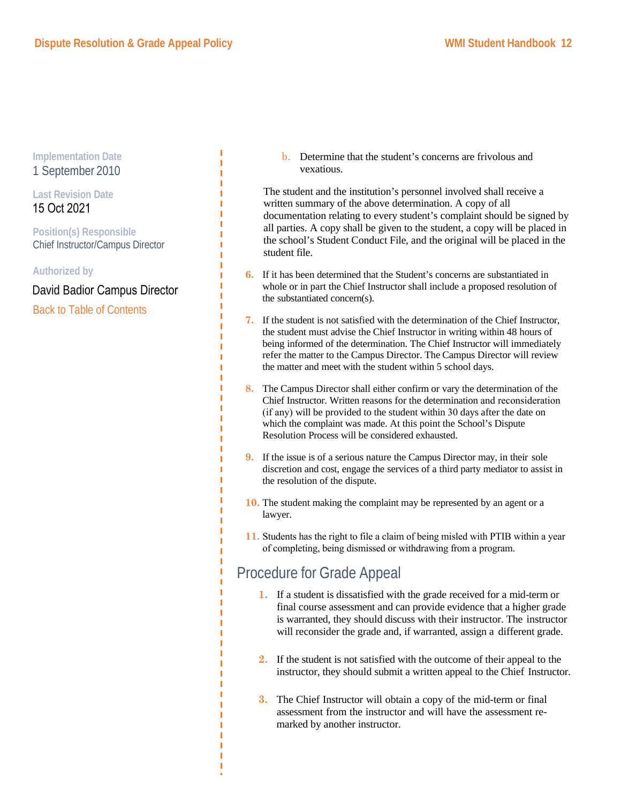Î. T. T. T. T. T T

#### **Implementation Date** 1 September 2010

**Last Revision Date** 15 Oct 2021

**Position(s) Responsible** Chief Instructor/Campus Director

**Authorized by**

Back to Table of Contents David Badior Campus Director b. Determine that the student's concerns are frivolous and vexatious.

The student and the institution's personnel involved shall receive a written summary of the above determination. A copy of all documentation relating to every student's complaint should be signed by all parties. A copy shall be given to the student, a copy will be placed in the school's Student Conduct File, and the original will be placed in the student file.

- **6.** If it has been determined that the Student's concerns are substantiated in whole or in part the Chief Instructor shall include a proposed resolution of the substantiated concern(s).
- **7.** If the student is not satisfied with the determination of the Chief Instructor, the student must advise the Chief Instructor in writing within 48 hours of being informed of the determination. The Chief Instructor will immediately refer the matter to the Campus Director. The Campus Director will review the matter and meet with the student within 5 school days.
- **8.** The Campus Director shall either confirm or vary the determination of the Chief Instructor. Written reasons for the determination and reconsideration (if any) will be provided to the student within 30 days after the date on which the complaint was made. At this point the School's Dispute Resolution Process will be considered exhausted.
- **9.** If the issue is of a serious nature the Campus Director may, in their sole discretion and cost, engage the services of a third party mediator to assist in the resolution of the dispute.
- **10.** The student making the complaint may be represented by an agent or a lawyer.
- **11.** Students has the right to file a claim of being misled with PTIB within a year of completing, being dismissed or withdrawing from a program.

### Procedure for Grade Appeal

- **1.** If a student is dissatisfied with the grade received for a mid-term or final course assessment and can provide evidence that a higher grade is warranted, they should discuss with their instructor. The instructor will reconsider the grade and, if warranted, assign a different grade.
- **2.** If the student is not satisfied with the outcome of their appeal to the instructor, they should submit a written appeal to the Chief Instructor.
- **3.** The Chief Instructor will obtain a copy of the mid-term or final assessment from the instructor and will have the assessment remarked by another instructor.